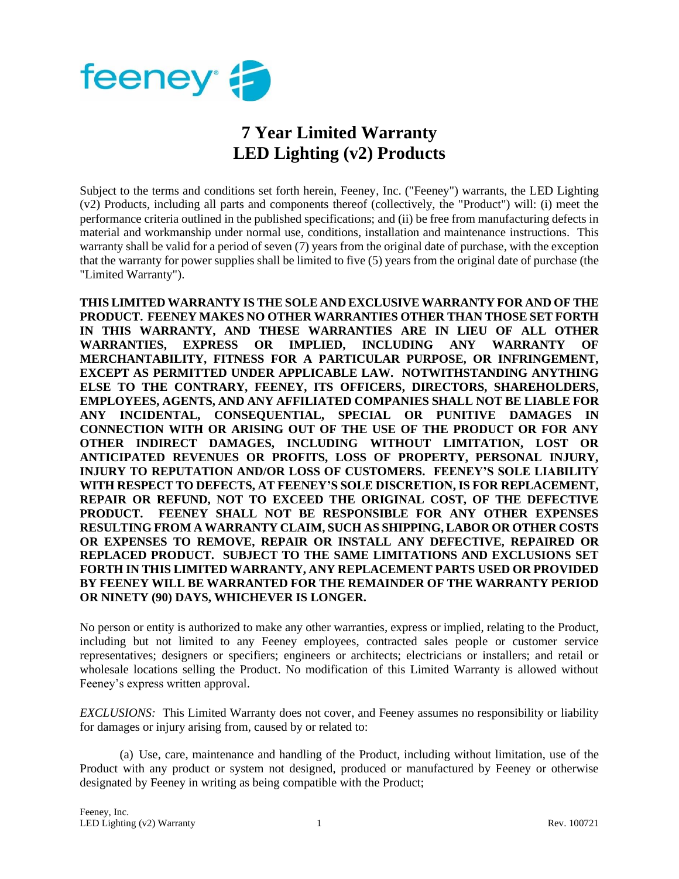

## **7 Year Limited Warranty LED Lighting (v2) Products**

Subject to the terms and conditions set forth herein, Feeney, Inc. ("Feeney") warrants, the LED Lighting (v2) Products, including all parts and components thereof (collectively, the "Product") will: (i) meet the performance criteria outlined in the published specifications; and (ii) be free from manufacturing defects in material and workmanship under normal use, conditions, installation and maintenance instructions. This warranty shall be valid for a period of seven (7) years from the original date of purchase, with the exception that the warranty for power supplies shall be limited to five (5) years from the original date of purchase (the "Limited Warranty").

**THIS LIMITED WARRANTY IS THE SOLE AND EXCLUSIVE WARRANTY FOR AND OF THE PRODUCT. FEENEY MAKES NO OTHER WARRANTIES OTHER THAN THOSE SET FORTH IN THIS WARRANTY, AND THESE WARRANTIES ARE IN LIEU OF ALL OTHER WARRANTIES, EXPRESS OR IMPLIED, INCLUDING ANY WARRANTY OF MERCHANTABILITY, FITNESS FOR A PARTICULAR PURPOSE, OR INFRINGEMENT, EXCEPT AS PERMITTED UNDER APPLICABLE LAW. NOTWITHSTANDING ANYTHING ELSE TO THE CONTRARY, FEENEY, ITS OFFICERS, DIRECTORS, SHAREHOLDERS, EMPLOYEES, AGENTS, AND ANY AFFILIATED COMPANIES SHALL NOT BE LIABLE FOR ANY INCIDENTAL, CONSEQUENTIAL, SPECIAL OR PUNITIVE DAMAGES IN CONNECTION WITH OR ARISING OUT OF THE USE OF THE PRODUCT OR FOR ANY OTHER INDIRECT DAMAGES, INCLUDING WITHOUT LIMITATION, LOST OR ANTICIPATED REVENUES OR PROFITS, LOSS OF PROPERTY, PERSONAL INJURY, INJURY TO REPUTATION AND/OR LOSS OF CUSTOMERS. FEENEY'S SOLE LIABILITY WITH RESPECT TO DEFECTS, AT FEENEY'S SOLE DISCRETION, IS FOR REPLACEMENT, REPAIR OR REFUND, NOT TO EXCEED THE ORIGINAL COST, OF THE DEFECTIVE PRODUCT. FEENEY SHALL NOT BE RESPONSIBLE FOR ANY OTHER EXPENSES RESULTING FROM A WARRANTY CLAIM, SUCH AS SHIPPING, LABOR OR OTHER COSTS OR EXPENSES TO REMOVE, REPAIR OR INSTALL ANY DEFECTIVE, REPAIRED OR REPLACED PRODUCT. SUBJECT TO THE SAME LIMITATIONS AND EXCLUSIONS SET FORTH IN THIS LIMITED WARRANTY, ANY REPLACEMENT PARTS USED OR PROVIDED BY FEENEY WILL BE WARRANTED FOR THE REMAINDER OF THE WARRANTY PERIOD OR NINETY (90) DAYS, WHICHEVER IS LONGER.** 

No person or entity is authorized to make any other warranties, express or implied, relating to the Product, including but not limited to any Feeney employees, contracted sales people or customer service representatives; designers or specifiers; engineers or architects; electricians or installers; and retail or wholesale locations selling the Product. No modification of this Limited Warranty is allowed without Feeney's express written approval.

*EXCLUSIONS:* This Limited Warranty does not cover, and Feeney assumes no responsibility or liability for damages or injury arising from, caused by or related to:

(a) Use, care, maintenance and handling of the Product, including without limitation, use of the Product with any product or system not designed, produced or manufactured by Feeney or otherwise designated by Feeney in writing as being compatible with the Product;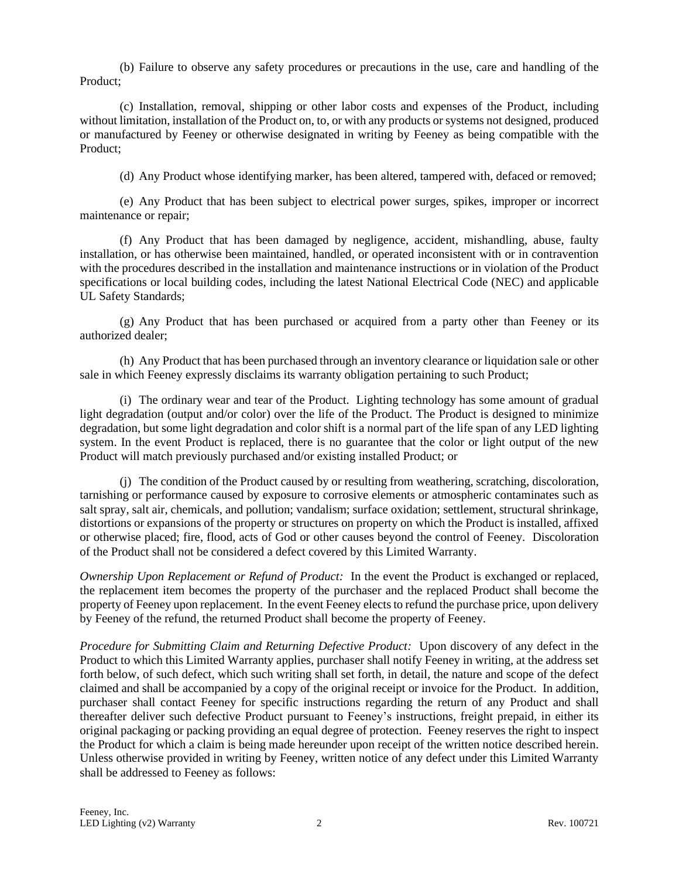(b) Failure to observe any safety procedures or precautions in the use, care and handling of the Product;

(c) Installation, removal, shipping or other labor costs and expenses of the Product, including without limitation, installation of the Product on, to, or with any products or systems not designed, produced or manufactured by Feeney or otherwise designated in writing by Feeney as being compatible with the Product;

(d) Any Product whose identifying marker, has been altered, tampered with, defaced or removed;

(e) Any Product that has been subject to electrical power surges, spikes, improper or incorrect maintenance or repair;

(f) Any Product that has been damaged by negligence, accident, mishandling, abuse, faulty installation, or has otherwise been maintained, handled, or operated inconsistent with or in contravention with the procedures described in the installation and maintenance instructions or in violation of the Product specifications or local building codes, including the latest National Electrical Code (NEC) and applicable UL Safety Standards;

(g) Any Product that has been purchased or acquired from a party other than Feeney or its authorized dealer;

(h) Any Product that has been purchased through an inventory clearance or liquidation sale or other sale in which Feeney expressly disclaims its warranty obligation pertaining to such Product;

(i) The ordinary wear and tear of the Product. Lighting technology has some amount of gradual light degradation (output and/or color) over the life of the Product. The Product is designed to minimize degradation, but some light degradation and color shift is a normal part of the life span of any LED lighting system. In the event Product is replaced, there is no guarantee that the color or light output of the new Product will match previously purchased and/or existing installed Product; or

(j) The condition of the Product caused by or resulting from weathering, scratching, discoloration, tarnishing or performance caused by exposure to corrosive elements or atmospheric contaminates such as salt spray, salt air, chemicals, and pollution; vandalism; surface oxidation; settlement, structural shrinkage, distortions or expansions of the property or structures on property on which the Product is installed, affixed or otherwise placed; fire, flood, acts of God or other causes beyond the control of Feeney. Discoloration of the Product shall not be considered a defect covered by this Limited Warranty.

*Ownership Upon Replacement or Refund of Product:* In the event the Product is exchanged or replaced, the replacement item becomes the property of the purchaser and the replaced Product shall become the property of Feeney upon replacement. In the event Feeney elects to refund the purchase price, upon delivery by Feeney of the refund, the returned Product shall become the property of Feeney.

*Procedure for Submitting Claim and Returning Defective Product:* Upon discovery of any defect in the Product to which this Limited Warranty applies, purchaser shall notify Feeney in writing, at the address set forth below, of such defect, which such writing shall set forth, in detail, the nature and scope of the defect claimed and shall be accompanied by a copy of the original receipt or invoice for the Product. In addition, purchaser shall contact Feeney for specific instructions regarding the return of any Product and shall thereafter deliver such defective Product pursuant to Feeney's instructions, freight prepaid, in either its original packaging or packing providing an equal degree of protection. Feeney reserves the right to inspect the Product for which a claim is being made hereunder upon receipt of the written notice described herein. Unless otherwise provided in writing by Feeney, written notice of any defect under this Limited Warranty shall be addressed to Feeney as follows: